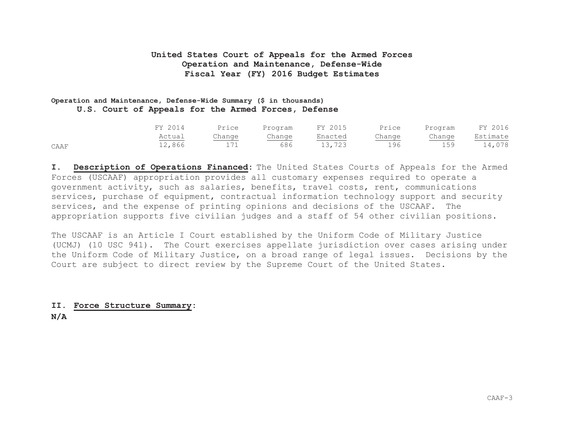#### **Operation and Maintenance, Defense-Wide Summary (\$ in thousands) U.S. Court of Appeals for the Armed Forces, Defense**

|      | FY 2014 | Price         | Program | FY 2015 | Price  | Program | FY 2016  |
|------|---------|---------------|---------|---------|--------|---------|----------|
|      | Actual  | <u>Change</u> | Change  | Enacted | Change | Change  | Estimate |
| CAAF | 12,866  |               | 686     | 13,723  | 196    | 159     | 14,078   |

**I. Description of Operations Financed:** The United States Courts of Appeals for the Armed Forces (USCAAF) appropriation provides all customary expenses required to operate a government activity, such as salaries, benefits, travel costs, rent, communications services, purchase of equipment, contractual information technology support and security services, and the expense of printing opinions and decisions of the USCAAF. The appropriation supports five civilian judges and a staff of 54 other civilian positions.

The USCAAF is an Article I Court established by the Uniform Code of Military Justice (UCMJ) (10 USC 941). The Court exercises appellate jurisdiction over cases arising under the Uniform Code of Military Justice, on a broad range of legal issues. Decisions by the Court are subject to direct review by the Supreme Court of the United States.

**II. Force Structure Summary:** 

**N/A**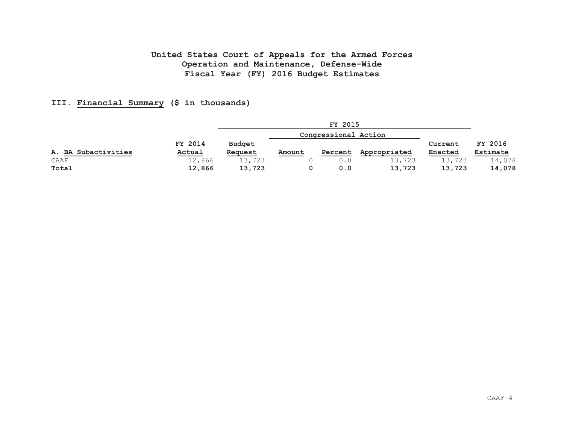|                     |         |               |        | Congressional Action |              |         |          |
|---------------------|---------|---------------|--------|----------------------|--------------|---------|----------|
|                     | FY 2014 | <b>Budget</b> |        |                      |              | Current | FY 2016  |
| A. BA Subactivities | Actual  | Request       | Amount | Percent              | Appropriated | Enacted | Estimate |
| CAAF                | 12,866  | 13,723        |        | 0.0                  | 13,723       | 13,723  | 14,078   |
| Total               | 12,866  | 13,723        |        | 0.0                  | 13,723       | 13,723  | 14,078   |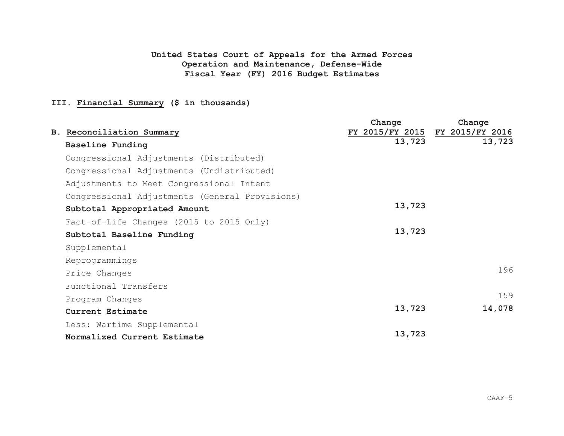|                                                | Change | Change                          |
|------------------------------------------------|--------|---------------------------------|
| B. Reconciliation Summary                      |        | FY 2015/FY 2015 FY 2015/FY 2016 |
| Baseline Funding                               | 13,723 | 13,723                          |
| Congressional Adjustments (Distributed)        |        |                                 |
| Congressional Adjustments (Undistributed)      |        |                                 |
| Adjustments to Meet Congressional Intent       |        |                                 |
| Congressional Adjustments (General Provisions) |        |                                 |
| Subtotal Appropriated Amount                   | 13,723 |                                 |
| Fact-of-Life Changes (2015 to 2015 Only)       |        |                                 |
| Subtotal Baseline Funding                      | 13,723 |                                 |
| Supplemental                                   |        |                                 |
| Reprogrammings                                 |        |                                 |
| Price Changes                                  |        | 196                             |
| Functional Transfers                           |        |                                 |
| Program Changes                                |        | 159                             |
| Current Estimate                               | 13,723 | 14,078                          |
| Less: Wartime Supplemental                     |        |                                 |
| Normalized Current Estimate                    | 13,723 |                                 |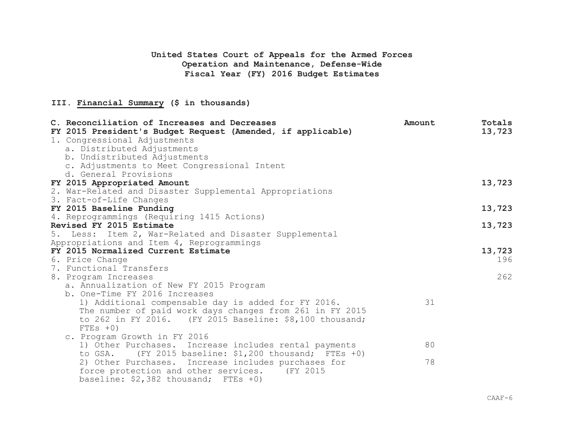| C. Reconciliation of Increases and Decreases                | Amount | Totals |
|-------------------------------------------------------------|--------|--------|
| FY 2015 President's Budget Request (Amended, if applicable) |        | 13,723 |
| 1. Congressional Adjustments                                |        |        |
| a. Distributed Adjustments                                  |        |        |
| b. Undistributed Adjustments                                |        |        |
| c. Adjustments to Meet Congressional Intent                 |        |        |
| d. General Provisions                                       |        |        |
| FY 2015 Appropriated Amount                                 |        | 13,723 |
| 2. War-Related and Disaster Supplemental Appropriations     |        |        |
| 3. Fact-of-Life Changes                                     |        |        |
| FY 2015 Baseline Funding                                    |        | 13,723 |
| 4. Reprogrammings (Requiring 1415 Actions)                  |        |        |
| Revised FY 2015 Estimate                                    |        | 13,723 |
| 5. Less: Item 2, War-Related and Disaster Supplemental      |        |        |
| Appropriations and Item 4, Reprogrammings                   |        |        |
| FY 2015 Normalized Current Estimate                         |        | 13,723 |
| 6. Price Change                                             |        | 196    |
| 7. Functional Transfers                                     |        |        |
| 8. Program Increases                                        |        | 262    |
| a. Annualization of New FY 2015 Program                     |        |        |
| b. One-Time FY 2016 Increases                               |        |        |
| 1) Additional compensable day is added for FY 2016.         | 31     |        |
| The number of paid work days changes from 261 in FY 2015    |        |        |
| to 262 in FY 2016. (FY 2015 Baseline: \$8,100 thousand;     |        |        |
| $FTEs + 0)$                                                 |        |        |
| c. Program Growth in FY 2016                                |        |        |
| 1) Other Purchases. Increase includes rental payments       | 80     |        |
| $(FY 2015 baseline: $1,200 thousand; FTEs +0)$<br>to GSA.   |        |        |
| 2) Other Purchases. Increase includes purchases for         | 78     |        |
| force protection and other services.<br>(FY 2015            |        |        |
| baseline: $$2,382$ thousand; FTEs +0)                       |        |        |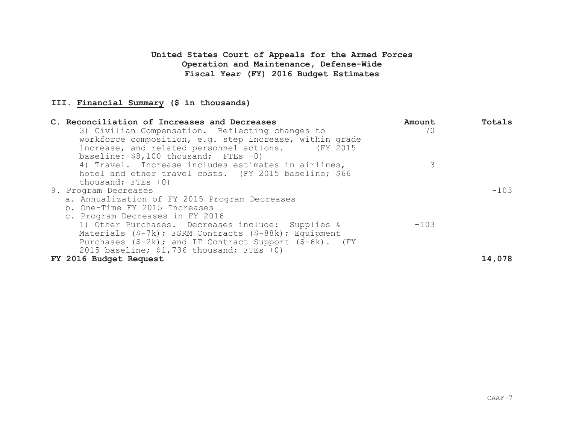| C. Reconciliation of Increases and Decreases                                    | Amount | Totals |
|---------------------------------------------------------------------------------|--------|--------|
| 3) Civilian Compensation. Reflecting changes to                                 | 70     |        |
| workforce composition, e.g. step increase, within grade                         |        |        |
| increase, and related personnel actions.<br>(FY 2015)                           |        |        |
| baseline: \$8,100 thousand; FTEs +0)                                            |        |        |
| 4) Travel. Increase includes estimates in airlines,                             | 3      |        |
| hotel and other travel costs. (FY 2015 baseline; \$66                           |        |        |
| thousand; $FTEs + 0)$                                                           |        |        |
| 9. Program Decreases                                                            |        | $-103$ |
| a. Annualization of FY 2015 Program Decreases                                   |        |        |
| b. One-Time FY 2015 Increases                                                   |        |        |
| c. Program Decreases in FY 2016                                                 |        |        |
| 1) Other Purchases. Decreases include: Supplies &                               | $-103$ |        |
| Materials $(\frac{5}{7k})$ ; FSRM Contracts $(\frac{5}{8} - 88k)$ ; Equipment   |        |        |
| Purchases $(\frac{5}{2k})$ ; and IT Contract Support $(\frac{5}{6} - 6k)$ . (FY |        |        |
| 2015 baseline; \$1,736 thousand; FTEs +0)                                       |        |        |
| FY 2016 Budget Request                                                          |        | 14,078 |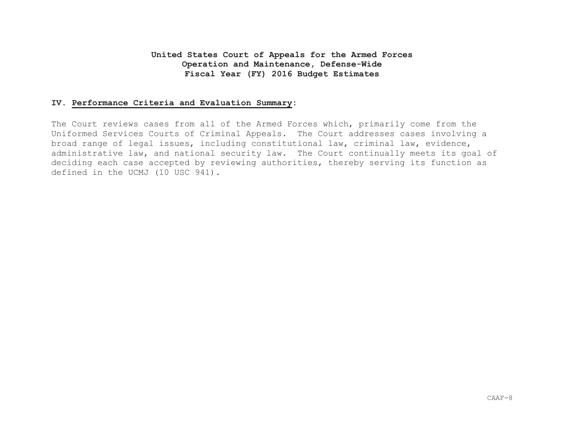#### **IV. Performance Criteria and Evaluation Summary:**

The Court reviews cases from all of the Armed Forces which, primarily come from the Uniformed Services Courts of Criminal Appeals. The Court addresses cases involving a broad range of legal issues, including constitutional law, criminal law, evidence, administrative law, and national security law. The Court continually meets its goal of deciding each case accepted by reviewing authorities, thereby serving its function as defined in the UCMJ (10 USC 941).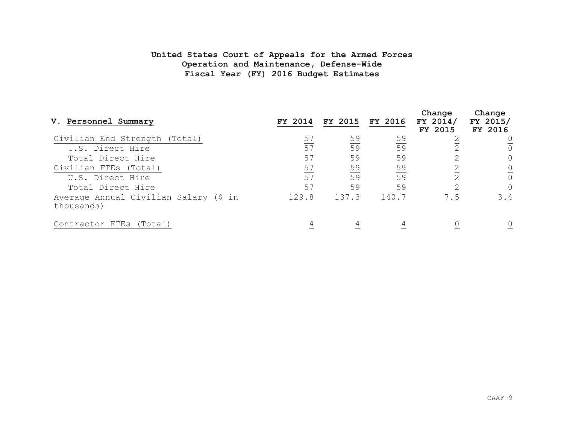| V. Personnel Summary                                | FY 2014 | FY 2015         | <b>FY 2016</b>  | Change<br>$FY$ 2014/<br>FY 2015 | Change<br>FY 2015/<br>FY 2016 |
|-----------------------------------------------------|---------|-----------------|-----------------|---------------------------------|-------------------------------|
| Civilian End Strength (Total)                       | 57      | 59              | 59              |                                 |                               |
| U.S. Direct Hire                                    | 57      | 59              | 59              |                                 |                               |
| Total Direct Hire                                   | 57      | 59              | 59              |                                 |                               |
| Civilian FTEs (Total)                               | 57      | 59              | $\frac{59}{59}$ |                                 |                               |
| U.S. Direct Hire                                    | 57      | $\overline{59}$ |                 |                                 |                               |
| Total Direct Hire                                   | 57      | 59              | 59              |                                 |                               |
| Average Annual Civilian Salary (\$ in<br>thousands) | 129.8   | 137.3           | 140.7           | 7.5                             | 3.4                           |
| Contractor FTEs<br>(Total)                          |         |                 |                 |                                 |                               |